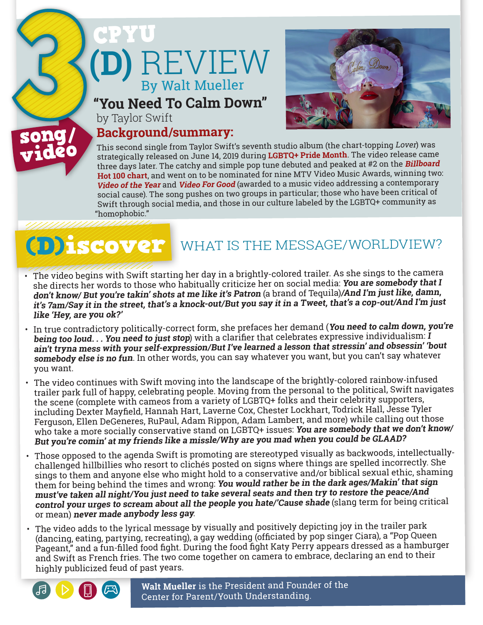# **(D)** REVIEW CPYU By Walt Mueller

**"You Need To Calm Down"**



by Taylor Swift

### **Background/summary:**

This second single from Taylor Swift's seventh studio album (the chart-topping Lover) was strategically released on June 14, 2019 during **LGBTQ+ Pride Month**. The video release came three days later. The catchy and simple pop tune debuted and peaked at #2 on the **Billboard Hot 100 chart**, and went on to be nominated for nine MTV Video Music Awards, winning two: **Video of the Year** and **Video For Good** (awarded to a music video addressing a contemporary social cause). The song pushes on two groups in particular; those who have been critical of Swift through social media, and those in our culture labeled by the LGBTQ+ community as "homophobic."

song/ video

## (D)iscover WHAT IS THE MESSAGE/WORLDVIEW?

- • The video begins with Swift starting her day in a brightly-colored trailer. As she sings to the camera she directs her words to those who habitually criticize her on social media: **You are somebody that I don't know/ But you're takin' shots at me like it's Patron** (a brand of Tequila)**/And I'm just like, damn, it's 7am/Say it in the street, that's a knock-out/But you say it in a Tweet, that's a cop-out/And I'm just like 'Hey, are you ok?'**
- • In true contradictory politically-correct form, she prefaces her demand (**You need to calm down, you're being too loud. . . You need to just stop**) with <sup>a</sup> clarifier that celebrates expressive individualism: **<sup>I</sup> ain't tryna mess with your self-expression/But I've learned a lesson that stressin' and obsessin' 'bout somebody else is no fun**. In other words, you can say whatever you want, but you can't say whatever
- you want.<br>• The video continues with Swift moving into the landscape of the brightly-colored rainbow-infused trailer park full of happy, celebrating people. Moving from the personal to the political, Swift navigates<br>the scene (complete with cameos from a variety of LGBTQ+ folks and their celebrity supporters, including Dexter Mayfield, Hannah Hart, Laverne Cox, Chester Lockhart, Todrick Hall, Jesse Tyler Ferguson, Ellen DeGeneres, RuPaul, Adam Rippon, Adam Lambert, and more) while calling out those who take a more socially conservative stand on LGBTQ+ issues: **You are somebody that we don't know/ But you're comin' at my friends like a missle/Why are you mad when you could be GLAAD?**
- Those opposed to the agenda Swift is promoting are stereotyped visually as backwoods, intellectually-<br>challenged hillbillies who resort to clichés posted on signs where things are spelled incorrectly. She sings to them and anyone else who might hold to <sup>a</sup> conservative and/or biblical sexual ethic, shaming them for being behind the times and wrong: **You would rather be in the dark ages/Makin' that sign must've taken all night/You just need to take several seats and then try to restore the peace/And control your urges to scream about all the people you hate/'Cause shade** (slang term for being critical or mean) **never made anybody less gay**.
- • The video adds to the lyrical message by visually and positively depicting joy in the trailer park (dancing, eating, partying, recreating), <sup>a</sup> gay wedding (officiated by pop singer Ciara), <sup>a</sup> "Pop Queen Pageant," and <sup>a</sup> fun-filled food fight. During the food fight Katy Perry appears dressed as <sup>a</sup> hamburger and Swift as French fries. The two come together on camera to embrace, declaring an end to their highly publicized feud of past years.



**Walt Mueller** is the President and Founder of the Center for Parent/Youth Understanding.